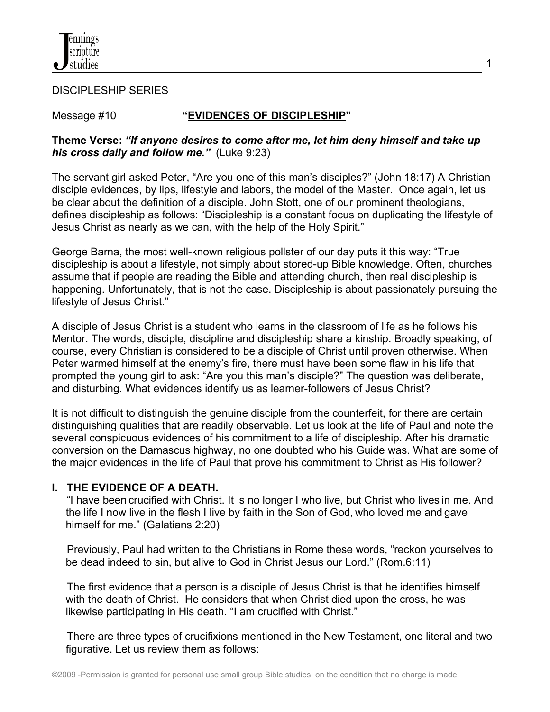

DISCIPLESHIP SERIES

# Message #10 **"EVIDENCES OF DISCIPLESHIP"**

1

## **Theme Verse:** *"If anyone desires to come after me, let him deny himself and take up his cross daily and follow me."* (Luke 9:23)

The servant girl asked Peter, "Are you one of this man's disciples?" (John 18:17) A Christian disciple evidences, by lips, lifestyle and labors, the model of the Master. Once again, let us be clear about the definition of a disciple. John Stott, one of our prominent theologians, defines discipleship as follows: "Discipleship is a constant focus on duplicating the lifestyle of Jesus Christ as nearly as we can, with the help of the Holy Spirit."

George Barna, the most well-known religious pollster of our day puts it this way: "True discipleship is about a lifestyle, not simply about stored-up Bible knowledge. Often, churches assume that if people are reading the Bible and attending church, then real discipleship is happening. Unfortunately, that is not the case. Discipleship is about passionately pursuing the lifestyle of Jesus Christ."

A disciple of Jesus Christ is a student who learns in the classroom of life as he follows his Mentor. The words, disciple, discipline and discipleship share a kinship. Broadly speaking, of course, every Christian is considered to be a disciple of Christ until proven otherwise. When Peter warmed himself at the enemy's fire, there must have been some flaw in his life that prompted the young girl to ask: "Are you this man's disciple?" The question was deliberate, and disturbing. What evidences identify us as learner-followers of Jesus Christ?

It is not difficult to distinguish the genuine disciple from the counterfeit, for there are certain distinguishing qualities that are readily observable. Let us look at the life of Paul and note the several conspicuous evidences of his commitment to a life of discipleship. After his dramatic conversion on the Damascus highway, no one doubted who his Guide was. What are some of the major evidences in the life of Paul that prove his commitment to Christ as His follower?

# **I. THE EVIDENCE OF A DEATH.**

 "I have been crucified with Christ. It is no longer I who live, but Christ who lives in me. And the life I now live in the flesh I live by faith in the Son of God, who loved me and gave himself for me." (Galatians 2:20)

 Previously, Paul had written to the Christians in Rome these words, "reckon yourselves to be dead indeed to sin, but alive to God in Christ Jesus our Lord." (Rom.6:11)

 The first evidence that a person is a disciple of Jesus Christ is that he identifies himself with the death of Christ. He considers that when Christ died upon the cross, he was likewise participating in His death. "I am crucified with Christ."

 There are three types of crucifixions mentioned in the New Testament, one literal and two figurative. Let us review them as follows: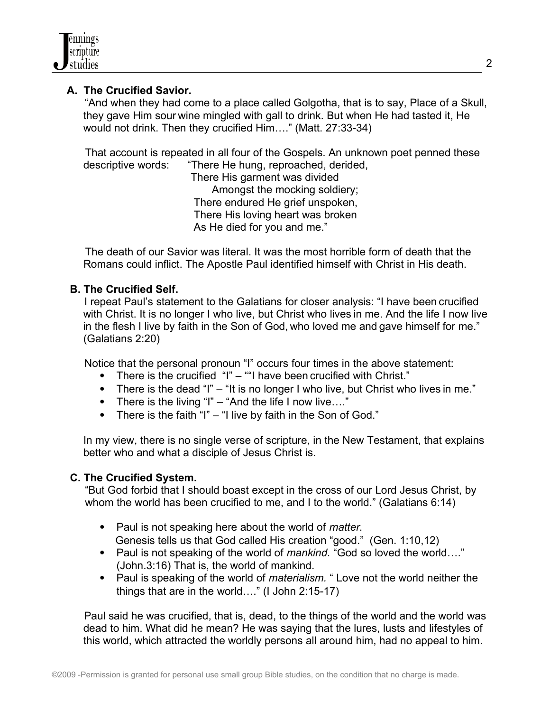# **A. The Crucified Savior.**

"And when they had come to a place called Golgotha, that is to say, Place of a Skull, they gave Him sour wine mingled with gall to drink. But when He had tasted it, He would not drink. Then they crucified Him…." (Matt. 27:33-34)

 That account is repeated in all four of the Gospels. An unknown poet penned these descriptive words: "There He hung, reproached, derided,

 There His garment was divided Amongst the mocking soldiery; There endured He grief unspoken, There His loving heart was broken As He died for you and me."

 The death of our Savior was literal. It was the most horrible form of death that the Romans could inflict. The Apostle Paul identified himself with Christ in His death.

# **B. The Crucified Self.**

I repeat Paul's statement to the Galatians for closer analysis: "I have been crucified with Christ. It is no longer I who live, but Christ who lives in me. And the life I now live in the flesh I live by faith in the Son of God, who loved me and gave himself for me." (Galatians 2:20)

Notice that the personal pronoun "I" occurs four times in the above statement:

- There is the crucified "I" ""I have been crucified with Christ."
- There is the dead "I" "It is no longer I who live, but Christ who lives in me."
- There is the living "I" "And the life I now live...."
- There is the faith "I" "I live by faith in the Son of God."

In my view, there is no single verse of scripture, in the New Testament, that explains better who and what a disciple of Jesus Christ is.

### **C. The Crucified System.**

 "But God forbid that I should boast except in the cross of our Lord Jesus Christ, by whom the world has been crucified to me, and I to the world." (Galatians 6:14)

- Paul is not speaking here about the world of *matter*. Genesis tells us that God called His creation "good." (Gen. 1:10,12)
- Paul is not speaking of the world of *mankind.* "God so loved the world…." (John.3:16) That is, the world of mankind.
- Paul is speaking of the world of *materialism*. " Love not the world neither the things that are in the world…." (I John 2:15-17)

 Paul said he was crucified, that is, dead, to the things of the world and the world was dead to him. What did he mean? He was saying that the lures, lusts and lifestyles of this world, which attracted the worldly persons all around him, had no appeal to him.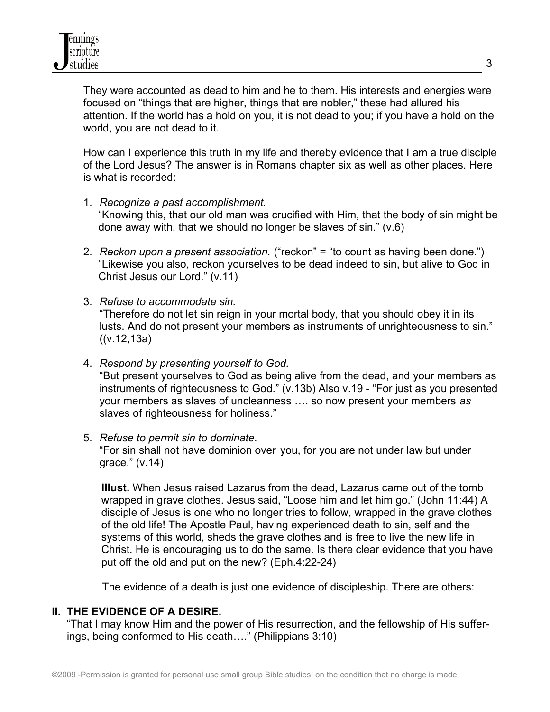They were accounted as dead to him and he to them. His interests and energies were focused on "things that are higher, things that are nobler," these had allured his attention. If the world has a hold on you, it is not dead to you; if you have a hold on the world, you are not dead to it.

How can I experience this truth in my life and thereby evidence that I am a true disciple of the Lord Jesus? The answer is in Romans chapter six as well as other places. Here is what is recorded:

- 1. *Recognize a past accomplishment.* "Knowing this, that our old man was crucified with Him*,* that the body of sin might be done away with, that we should no longer be slaves of sin." (v.6)
- 2. *Reckon upon a present association.* ("reckon" = "to count as having been done.") "Likewise you also, reckon yourselves to be dead indeed to sin, but alive to God in Christ Jesus our Lord." (v.11)
- 3. *Refuse to accommodate sin.*  "Therefore do not let sin reign in your mortal body, that you should obey it in its lusts. And do not present your members as instruments of unrighteousness to sin."  $((v.12,13a))$
- 4. *Respond by presenting yourself to God.* "But present yourselves to God as being alive from the dead, and your members as instruments of righteousness to God." (v.13b) Also v.19 - "For just as you presented your members as slaves of uncleanness …. so now present your members *as* slaves of righteousness for holiness."
- 5. *Refuse to permit sin to dominate.*

"For sin shall not have dominion over you, for you are not under law but under grace." (v.14)

 **Illust.** When Jesus raised Lazarus from the dead, Lazarus came out of the tomb wrapped in grave clothes. Jesus said, "Loose him and let him go." (John 11:44) A disciple of Jesus is one who no longer tries to follow, wrapped in the grave clothes of the old life! The Apostle Paul, having experienced death to sin, self and the systems of this world, sheds the grave clothes and is free to live the new life in Christ. He is encouraging us to do the same. Is there clear evidence that you have put off the old and put on the new? (Eph.4:22-24)

The evidence of a death is just one evidence of discipleship. There are others:

### **II. THE EVIDENCE OF A DESIRE.**

"That I may know Him and the power of His resurrection, and the fellowship of His suffer ings, being conformed to His death…." (Philippians 3:10)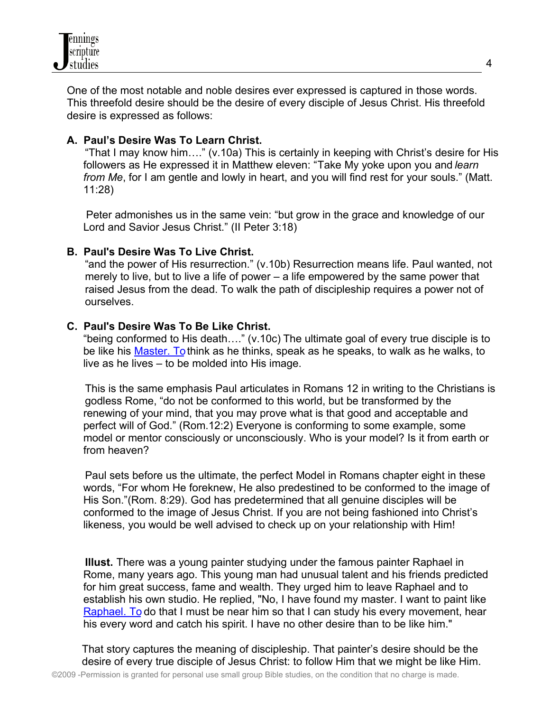One of the most notable and noble desires ever expressed is captured in those words. This threefold desire should be the desire of every disciple of Jesus Christ. His threefold desire is expressed as follows:

# **A. Paul's Desire Was To Learn Christ.**

 "That I may know him…." (v.10a) This is certainly in keeping with Christ's desire for His followers as He expressed it in Matthew eleven: "Take My yoke upon you and *learn from Me*, for I am gentle and lowly in heart, and you will find rest for your souls." (Matt. 11:28)

 Peter admonishes us in the same vein: "but grow in the grace and knowledge of our Lord and Savior Jesus Christ." (II Peter 3:18)

## **B. Paul's Desire Was To Live Christ.**

 "and the power of His resurrection." (v.10b) Resurrection means life. Paul wanted, not merely to live, but to live a life of power – a life empowered by the same power that raised Jesus from the dead. To walk the path of discipleship requires a power not of ourselves.

### **C. Paul's Desire Was To Be Like Christ.**

"being conformed to His death…." (v.10c) The ultimate goal of every true disciple is to be like his [Master. To](http://MASTER.TO/) think as he thinks, speak as he speaks, to walk as he walks, to live as he lives – to be molded into His image.

 This is the same emphasis Paul articulates in Romans 12 in writing to the Christians is godless Rome, "do not be conformed to this world, but be transformed by the renewing of your mind, that you may prove what is that good and acceptable and perfect will of God." (Rom.12:2) Everyone is conforming to some example, some model or mentor consciously or unconsciously. Who is your model? Is it from earth or from heaven?

 Paul sets before us the ultimate, the perfect Model in Romans chapter eight in these words, "For whom He foreknew, He also predestined to be conformed to the image of His Son."(Rom. 8:29). God has predetermined that all genuine disciples will be conformed to the image of Jesus Christ. If you are not being fashioned into Christ's likeness, you would be well advised to check up on your relationship with Him!

 **Illust.** There was a young painter studying under the famous painter Raphael in Rome, many years ago. This young man had unusual talent and his friends predicted for him great success, fame and wealth. They urged him to leave Raphael and to establish his own studio. He replied, "No, I have found my master. I want to paint like  [Raphael. To](http://RAPHAEL.TO/) do that I must be near him so that I can study his every movement, hear his every word and catch his spirit. I have no other desire than to be like him."

 That story captures the meaning of discipleship. That painter's desire should be the desire of every true disciple of Jesus Christ: to follow Him that we might be like Him.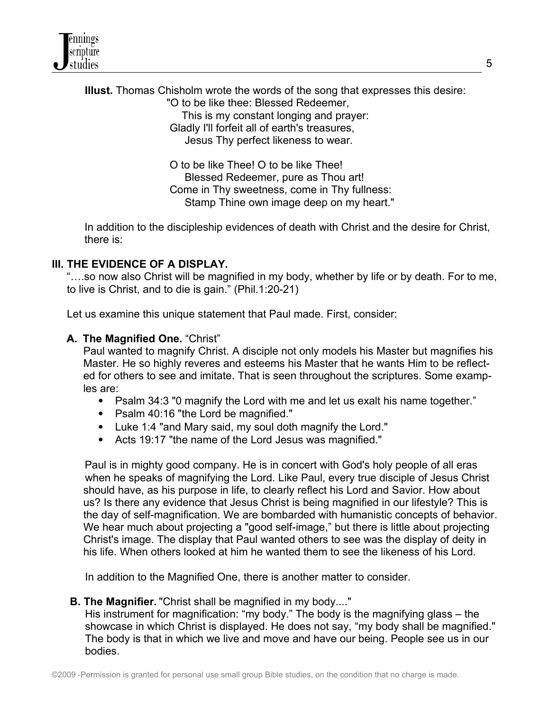**Illust.** Thomas Chisholm wrote the words of the song that expresses this desire: "O to be like thee: Blessed Redeemer,

 This is my constant longing and prayer: Gladly I'll forfeit all of earth's treasures, Jesus Thy perfect likeness to wear.

 O to be like Thee! O to be like Thee! Blessed Redeemer, pure as Thou art! Come in Thy sweetness, come in Thy fullness: Stamp Thine own image deep on my heart."

 In addition to the discipleship evidences of death with Christ and the desire for Christ, there is:

# **III. THE EVIDENCE OF A DISPLAY.**

 "….so now also Christ will be magnified in my body, whether by life or by death. For to me, to live is Christ, and to die is gain." (Phil.1:20-21)

Let us examine this unique statement that Paul made. First, consider:

## **A. The Magnified One.** "Christ"

Paul wanted to magnify Christ. A disciple not only models his Master but magnifies his Master. He so highly reveres and esteems his Master that he wants Him to be reflected for others to see and imitate. That is seen throughout the scriptures. Some examples are:

- Psalm 34:3 "0 magnify the Lord with me and let us exalt his name together."
- Psalm 40:16 "the Lord be magnified."
- Luke 1:4 "and Mary said, my soul doth magnify the Lord."
- Acts 19:17 "the name of the Lord Jesus was magnified."

Paul is in mighty good company. He is in concert with God's holy people of all eras when he speaks of magnifying the Lord. Like Paul, every true disciple of Jesus Christ should have, as his purpose in life, to clearly reflect his Lord and Savior. How about us? Is there any evidence that Jesus Christ is being magnified in our lifestyle? This is the day of self-magnification. We are bombarded with humanistic concepts of behavior. We hear much about projecting a "good self-image," but there is little about projecting Christ's image. The display that Paul wanted others to see was the display of deity in his life. When others looked at him he wanted them to see the likeness of his Lord.

In addition to the Magnified One, there is another matter to consider.

### **B. The Magnifier.** "Christ shall be magnified in my body...."

 His instrument for magnification: "my body." The body is the magnifying glass – the showcase in which Christ is displayed. He does not say, "my body shall be magnified." The body is that in which we live and move and have our being. People see us in our bodies.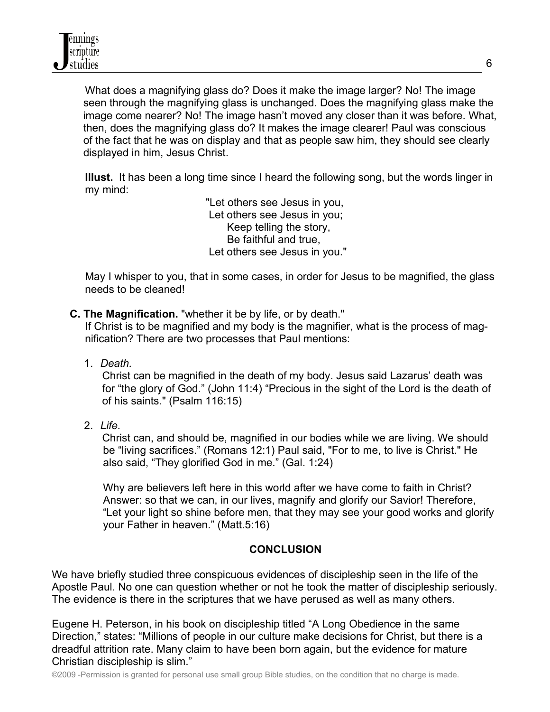What does a magnifying glass do? Does it make the image larger? No! The image seen through the magnifying glass is unchanged. Does the magnifying glass make the image come nearer? No! The image hasn't moved any closer than it was before. What, then, does the magnifying glass do? It makes the image clearer! Paul was conscious of the fact that he was on display and that as people saw him, they should see clearly displayed in him, Jesus Christ.

 **Illust.** It has been a long time since I heard the following song, but the words linger in my mind:

> "Let others see Jesus in you, Let others see Jesus in you; Keep telling the story, Be faithful and true, Let others see Jesus in you."

 May I whisper to you, that in some cases, in order for Jesus to be magnified, the glass needs to be cleaned!

# **C. The Magnification.** "whether it be by life, or by death."

 If Christ is to be magnified and my body is the magnifier, what is the process of mag nification? There are two processes that Paul mentions:

1. *Death.*

 Christ can be magnified in the death of my body. Jesus said Lazarus' death was for "the glory of God." (John 11:4) "Precious in the sight of the Lord is the death of of his saints." (Psalm 116:15)

2. *Life.*

 Christ can, and should be, magnified in our bodies while we are living. We should be "living sacrifices." (Romans 12:1) Paul said, "For to me, to live is Christ." He also said, "They glorified God in me." (Gal. 1:24)

 Why are believers left here in this world after we have come to faith in Christ? Answer: so that we can, in our lives, magnify and glorify our Savior! Therefore, "Let your light so shine before men, that they may see your good works and glorify your Father in heaven." (Matt.5:16)

# **CONCLUSION**

We have briefly studied three conspicuous evidences of discipleship seen in the life of the Apostle Paul. No one can question whether or not he took the matter of discipleship seriously. The evidence is there in the scriptures that we have perused as well as many others.

Eugene H. Peterson, in his book on discipleship titled "A Long Obedience in the same Direction," states: "Millions of people in our culture make decisions for Christ, but there is a dreadful attrition rate. Many claim to have been born again, but the evidence for mature Christian discipleship is slim."